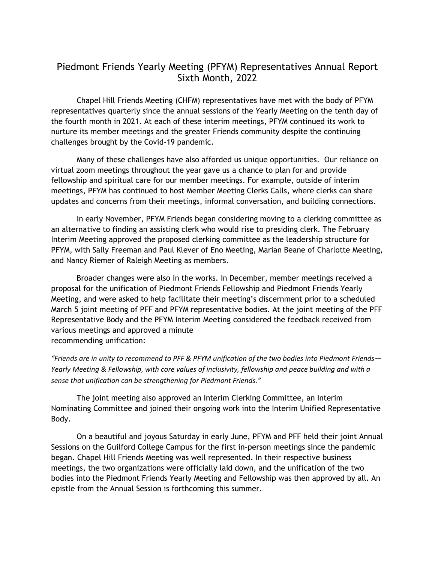## Piedmont Friends Yearly Meeting (PFYM) Representatives Annual Report Sixth Month, 2022

Chapel Hill Friends Meeting (CHFM) representatives have met with the body of PFYM representatives quarterly since the annual sessions of the Yearly Meeting on the tenth day of the fourth month in 2021. At each of these interim meetings, PFYM continued its work to nurture its member meetings and the greater Friends community despite the continuing challenges brought by the Covid-19 pandemic.

Many of these challenges have also afforded us unique opportunities. Our reliance on virtual zoom meetings throughout the year gave us a chance to plan for and provide fellowship and spiritual care for our member meetings. For example, outside of interim meetings, PFYM has continued to host Member Meeting Clerks Calls, where clerks can share updates and concerns from their meetings, informal conversation, and building connections.

In early November, PFYM Friends began considering moving to a clerking committee as an alternative to finding an assisting clerk who would rise to presiding clerk. The February Interim Meeting approved the proposed clerking committee as the leadership structure for PFYM, with Sally Freeman and Paul Klever of Eno Meeting, Marian Beane of Charlotte Meeting, and Nancy Riemer of Raleigh Meeting as members.

Broader changes were also in the works. In December, member meetings received a proposal for the unification of Piedmont Friends Fellowship and Piedmont Friends Yearly Meeting, and were asked to help facilitate their meeting's discernment prior to a scheduled March 5 joint meeting of PFF and PFYM representative bodies. At the joint meeting of the PFF Representative Body and the PFYM Interim Meeting considered the feedback received from various meetings and approved a minute recommending unification:

"Friends are in unity to recommend to PFF & PFYM unification of the two bodies into Piedmont Friends-*Yearly Meeting & Fellowship, with core values of inclusivity, fellowship and peace building and with a sense that unification can be strengthening for Piedmont Friends."* 

The joint meeting also approved an Interim Clerking Committee, an Interim Nominating Committee and joined their ongoing work into the Interim Unified Representative Body.

On a beautiful and joyous Saturday in early June, PFYM and PFF held their joint Annual Sessions on the Guilford College Campus for the first in-person meetings since the pandemic began. Chapel Hill Friends Meeting was well represented. In their respective business meetings, the two organizations were officially laid down, and the unification of the two bodies into the Piedmont Friends Yearly Meeting and Fellowship was then approved by all. An epistle from the Annual Session is forthcoming this summer.